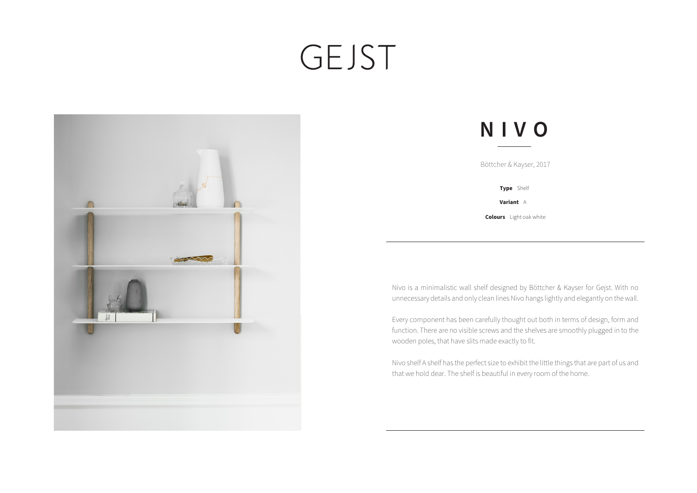## GEJST



## **NIVO**

| Böttcher & Kayser, 2017 |  |
|-------------------------|--|
| Type Shelf              |  |

**Variant** A

**Colours** Light oak white

Nivo is a minimalistic wall shelf designed by Böttcher & Kayser for Gejst. With no unnecessary details and only clean lines Nivo hangs lightly and elegantly on the wall.

Every component has been carefully thought out both in terms of design, form and function. There are no visible screws and the shelves are smoothly plugged in to the wooden poles, that have slits made exactly to fit.

Nivo shelf A shelf has the perfect size to exhibit the little things that are part of us and that we hold dear. The shelf is beautiful in every room of the home.